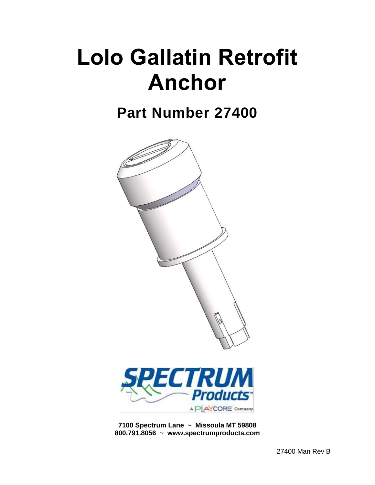# **Lolo Gallatin Retrofit Anchor**

# **Part Number 27400**





**7100 Spectrum Lane ~ Missoula MT 59808 800.791.8056 ~ www.spectrumproducts.com**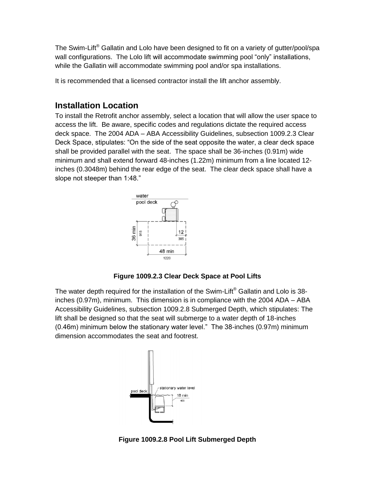The Swim-Lift<sup>®</sup> Gallatin and Lolo have been designed to fit on a variety of gutter/pool/spa wall configurations. The Lolo lift will accommodate swimming pool "only" installations, while the Gallatin will accommodate swimming pool and/or spa installations.

It is recommended that a licensed contractor install the lift anchor assembly.

### **Installation Location**

To install the Retrofit anchor assembly, select a location that will allow the user space to access the lift. Be aware, specific codes and regulations dictate the required access deck space. The 2004 ADA – ABA Accessibility Guidelines, subsection 1009.2.3 Clear Deck Space, stipulates: "On the side of the seat opposite the water, a clear deck space shall be provided parallel with the seat. The space shall be 36-inches (0.91m) wide minimum and shall extend forward 48-inches (1.22m) minimum from a line located 12 inches (0.3048m) behind the rear edge of the seat. The clear deck space shall have a slope not steeper than 1:48."



**Figure 1009.2.3 Clear Deck Space at Pool Lifts**

The water depth required for the installation of the Swim-Lift<sup>®</sup> Gallatin and Lolo is 38inches (0.97m), minimum. This dimension is in compliance with the 2004 ADA – ABA Accessibility Guidelines, subsection 1009.2.8 Submerged Depth, which stipulates: The lift shall be designed so that the seat will submerge to a water depth of 18-inches (0.46m) minimum below the stationary water level." The 38-inches (0.97m) minimum dimension accommodates the seat and footrest.



**Figure 1009.2.8 Pool Lift Submerged Depth**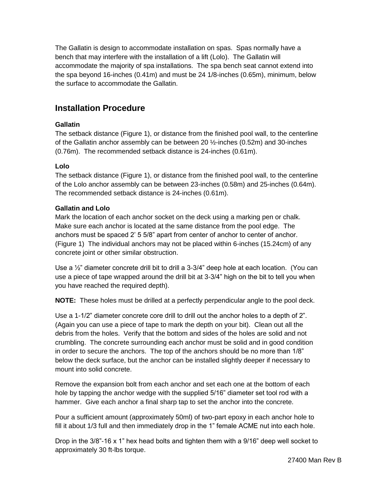The Gallatin is design to accommodate installation on spas. Spas normally have a bench that may interfere with the installation of a lift (Lolo). The Gallatin will accommodate the majority of spa installations. The spa bench seat cannot extend into the spa beyond 16-inches (0.41m) and must be 24 1/8-inches (0.65m), minimum, below the surface to accommodate the Gallatin.

## **Installation Procedure**

#### **Gallatin**

The setback distance (Figure 1), or distance from the finished pool wall, to the centerline of the Gallatin anchor assembly can be between 20 ½-inches (0.52m) and 30-inches (0.76m). The recommended setback distance is 24-inches (0.61m).

#### **Lolo**

The setback distance (Figure 1), or distance from the finished pool wall, to the centerline of the Lolo anchor assembly can be between 23-inches (0.58m) and 25-inches (0.64m). The recommended setback distance is 24-inches (0.61m).

#### **Gallatin and Lolo**

Mark the location of each anchor socket on the deck using a marking pen or chalk. Make sure each anchor is located at the same distance from the pool edge. The anchors must be spaced 2' 5 5/8" apart from center of anchor to center of anchor. (Figure 1) The individual anchors may not be placed within 6-inches (15.24cm) of any concrete joint or other similar obstruction.

Use a  $\frac{1}{2}$ " diameter concrete drill bit to drill a 3-3/4" deep hole at each location. (You can use a piece of tape wrapped around the drill bit at 3-3/4" high on the bit to tell you when you have reached the required depth).

**NOTE:** These holes must be drilled at a perfectly perpendicular angle to the pool deck.

Use a 1-1/2" diameter concrete core drill to drill out the anchor holes to a depth of 2". (Again you can use a piece of tape to mark the depth on your bit). Clean out all the debris from the holes. Verify that the bottom and sides of the holes are solid and not crumbling. The concrete surrounding each anchor must be solid and in good condition in order to secure the anchors. The top of the anchors should be no more than 1/8" below the deck surface, but the anchor can be installed slightly deeper if necessary to mount into solid concrete.

Remove the expansion bolt from each anchor and set each one at the bottom of each hole by tapping the anchor wedge with the supplied 5/16" diameter set tool rod with a hammer. Give each anchor a final sharp tap to set the anchor into the concrete.

Pour a sufficient amount (approximately 50ml) of two-part epoxy in each anchor hole to fill it about 1/3 full and then immediately drop in the 1" female ACME nut into each hole.

Drop in the 3/8"-16 x 1" hex head bolts and tighten them with a 9/16" deep well socket to approximately 30 ft-lbs torque.